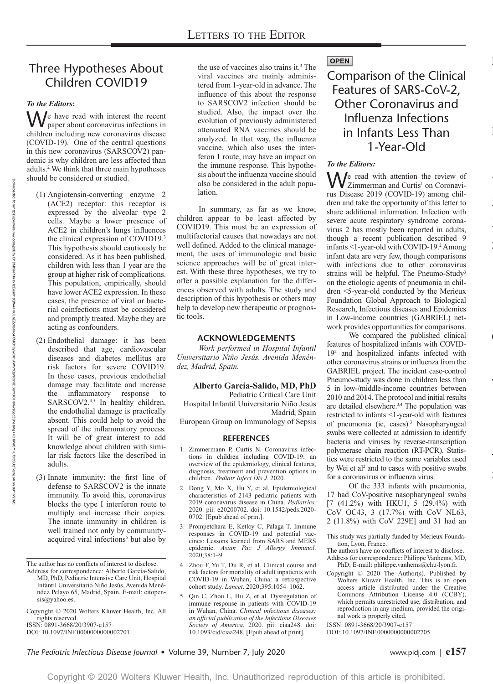# Three Hypotheses About Children COVID19

## *To the Editors***:**

 $\mathbf{W}^{\text{e}}$  have read with interest the recent paper about coronavirus infections in children including new coronavirus disease  $(COVID-19)$ .<sup>1</sup> One of the central questions in this new coronavirus (SARSCOV2) pandemic is why children are less affected than adults.2 We think that three main hypotheses should be considered or studied.

- (1) Angiotensin-converting enzyme 2 (ACE2) receptor: this receptor is expressed by the alveolar type 2 cells. Maybe a lower presence of ACE2 in children's lungs influences the clinical expression of COVID19.3 This hypothesis should cautiously be considered. As it has been published, children with less than 1 year are the group at higher risk of complications. This population, empirically, should have lower ACE2 expression. In these cases, the presence of viral or bacterial coinfections must be considered and promptly treated. Maybe they are acting as confounders.
- (2) Endothelial damage: it has been described that age, cardiovascular diseases and diabetes mellitus are risk factors for severe COVID19. In these cases, previous endothelial damage may facilitate and increase the inflammatory response to SARSCOV2.<sup>4,5</sup> In healthy children, the endothelial damage is practically absent. This could help to avoid the spread of the inflammatory process. It will be of great interest to add knowledge about children with similar risk factors like the described in adults.
- (3) Innate immunity: the first line of defense to SARSCOV2 is the innate immunity. To avoid this, coronavirus blocks the type I interferon route to multiply and increase their copies. The innate immunity in children is well trained not only by communityacquired viral infections<sup>5</sup> but also by

DOI: 10.1097/INF.0000000000002701

the use of vaccines also trains it.<sup>3</sup> The viral vaccines are mainly administered from 1-year-old in advance. The influence of this about the response to SARSCOV2 infection should be studied. Also, the impact over the evolution of previously administered attenuated RNA vaccines should be analyzed. In that way, the influenza vaccine, which also uses the interferon 1 route, may have an impact on the immune response. This hypothesis about the influenza vaccine should also be considered in the adult population.

In summary, as far as we know, children appear to be least affected by COVID19. This must be an expression of multifactorial causes that nowadays are not well defined. Added to the clinical management, the uses of immunologic and basic science approaches will be of great interest. With these three hypotheses, we try to offer a possible explanation for the differences observed with adults. The study and description of this hypothesis or others may help to develop new therapeutic or prognostic tools.

## **ACKNOWLEDGEMENTS**

*Work performed in Hospital Infantil Universitario Niño Jesús. Avenida Menéndez, Madrid, Spain.*

#### **Alberto García-Salido, MD, PhD**

Pediatric Critical Care Unit Hospital Infantil Universitario Niño Jesús Madrid, Spain

European Group on Immunology of Sepsis

#### **REFERENCES**

- 1. Zimmermann P, Curtis N. Coronavirus infections in children including COVID-19: an overview of the epidemiology, clinical features, diagnosis, treatment and prevention options in children. *Pediatr Infect Dis J*. 2020.
- 2. Dong Y, Mo X, Hu Y, et al. Epidemiological characteristics of 2143 pediatric patients with 2019 coronavirus disease in China. *Pediatrics*. 2020. pii: e20200702. doi: 10.1542/peds.2020- 0702. [Epub ahead of print].
- 3. Prompetchara E, Ketloy C, Palaga T. Immune responses in COVID-19 and potential vaccines: Lessons learned from SARS and MERS epidemic. *Asian Pac J Allergy Immunol*. 2020;38:1–9.
- 4. Zhou F, Yu T, Du R, et al. Clinical course and risk factors for mortality of adult inpatients with COVID-19 in Wuhan, China: a retrospective cohort study. *Lancet*. 2020;395:1054–1062.
- 5. Qin C, Zhou L, Hu Z, et al. Dysregulation of immune response in patients with COVID-19 in Wuhan, China. *Clinical infectious diseases: an official publication of the Infectious Diseases Society of America*. 2020. pii: ciaa248. doi: 10.1093/cid/ciaa248. [Epub ahead of print].

## **OPEN**

Comparison of the Clinical Features of SARS-CoV-2, Other Coronavirus and Influenza Infections in Infants Less Than 1-Year-Old

### *To the Editors:*

We read with attention the review of<br>
Zimmerman and Curtis<sup>1</sup> on Coronavirus Disease 2019 (COVID-19) among children and take the opportunity of this letter to share additional information. Infection with severe acute respiratory syndrome coronavirus 2 has mostly been reported in adults, though a recent publication described 9 infants <1-year-old with COVID-19.<sup>2</sup> Among infant data are very few, though comparisons with infections due to other coronavirus strains will be helpful. The Pneumo-Study<sup>3</sup> on the etiologic agents of pneumonia in children <5-year-old conducted by the Merieux Foundation Global Approach to Biological Research, Infectious diseases and Epidemics in Low-income countries (GABRIEL) network provides opportunities for comparisons.

We compared the published clinical features of hospitalized infants with COVID-192 and hospitalized infants infected with other coronavirus strains or influenza from the GABRIEL project. The incident case-control Pneumo-study was done in children less than 5 in low-/middle-income countries between 2010 and 2014. The protocol and initial results are detailed elsewhere.<sup>3,4</sup> The population was restricted to infants <1-year-old with features of pneumonia (ie, cases).<sup>3</sup> Nasopharyngeal swabs were collected at admission to identify bacteria and viruses by reverse-transcription polymerase chain reaction (RT-PCR). Statistics were restricted to the same variables used by Wei et al<sup>2</sup> and to cases with positive swabs for a coronavirus or influenza virus.

The Pediatric Infectious Disease Journal

 $\overline{a}$ 

2<br>2

2<br>2

July

P<sub>ID</sub>

Letter to the Editor

Pediatr Infect Dis J

Hagerstown, MD

Lippincott Williams & Williams & Williams & Williams & Williams & Williams & Williams & Williams & Williams & W

Of the 333 infants with pneumonia, 17 had CoV-positive nasopharyngeal swabs [7 (41.2%) with HKU1, 5 (29.4%) with CoV OC43, 3 (17.7%) with CoV NL63, 2 (11.8%) with CoV 229E] and 31 had an

This study was partially funded by Merieux Foundation, Lyon, France.

- The authors have no conflicts of interest to disclose. Address for correspondence: Philippe Vanhems, MD, PhD; E-mail: [philippe.vanhems@chu-lyon.fr](mailto:philippe.vanhems@chu-lyon.fr).
- Copyright © 2020 The Author(s). Published by Wolters Kluwer Health, Inc. This is an open access article distributed under the [Creative](https://creativecommons.org/licenses/by/4.0/) [Commons Attribution License 4.0 \(CCBY\)](https://creativecommons.org/licenses/by/4.0/), which permits unrestricted use, distribution, and reproduction in any medium, provided the original work is properly cited.

ISSN: 0891-3668/20/3907-e157

DOI: 10.1097/INF.0000000000002705

*The Pediatric Infectious Disease Journal* • Volume 39, Number 7, July 2020 www.pidj.com | **e157**

Downloaded from

https://journals.lww.com/pidj

হ

The author has no conflicts of interest to disclose.

Address for correspondence: Alberto García-Salido, MD, PhD, Pediatric Intensive Care Unit, Hospital Infantil Universitario Niño Jesús, Avenida Menéndez Pelayo 65, Madrid, Spain. E-mail: [citopen](mailto:citopensis@yahoo.es)[sis@yahoo.es](mailto:citopensis@yahoo.es).

Copyright © 2020 Wolters Kluwer Health, Inc. All rights reserved.

ISSN: 0891-3668/20/3907-e157